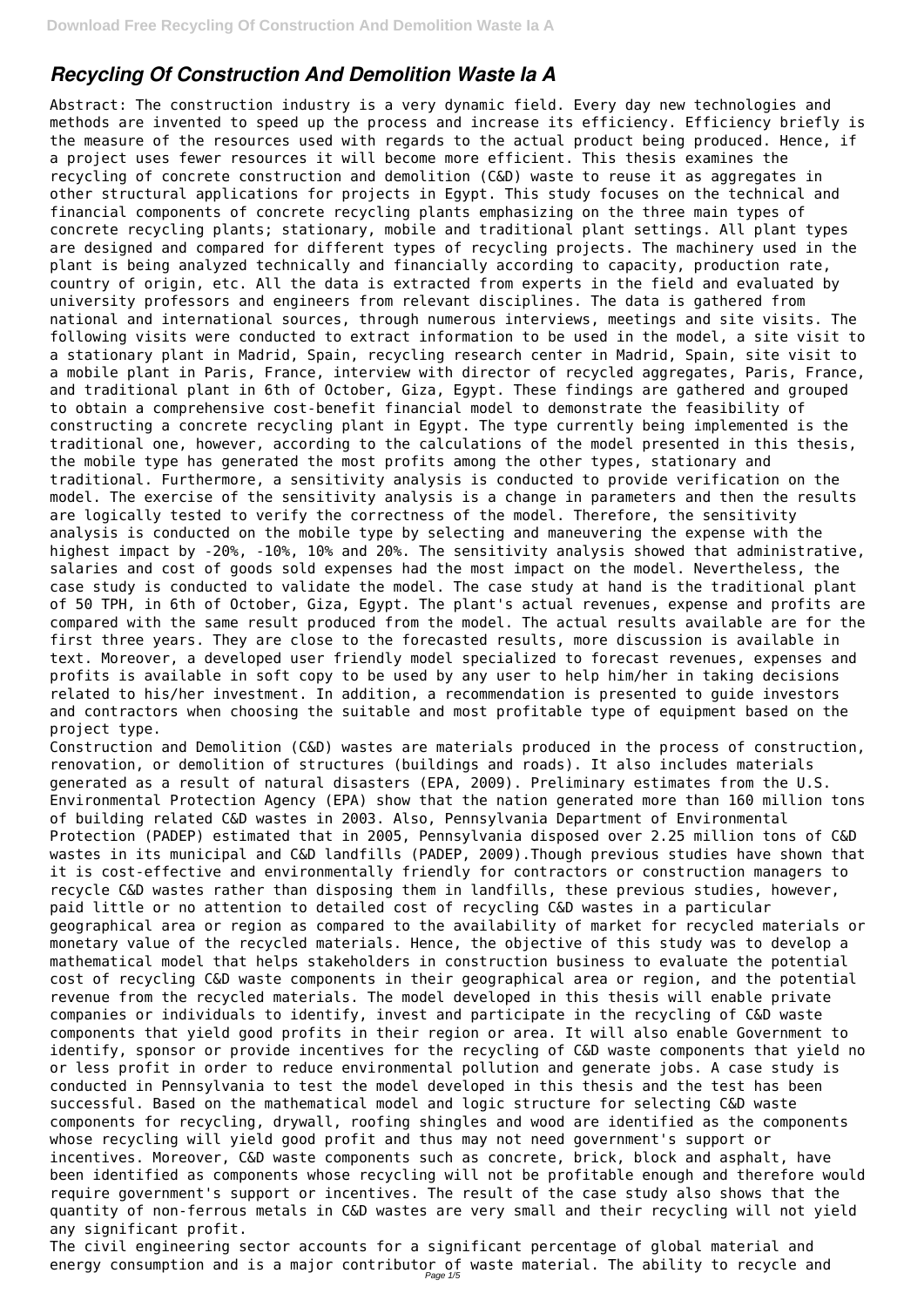# *Recycling Of Construction And Demolition Waste Ia A*

Construction and Demolition (C&D) wastes are materials produced in the process of construction, renovation, or demolition of structures (buildings and roads). It also includes materials generated as a result of natural disasters (EPA, 2009). Preliminary estimates from the U.S. Environmental Protection Agency (EPA) show that the nation generated more than 160 million tons of building related C&D wastes in 2003. Also, Pennsylvania Department of Environmental Protection (PADEP) estimated that in 2005, Pennsylvania disposed over 2.25 million tons of C&D wastes in its municipal and C&D landfills (PADEP, 2009).Though previous studies have shown that it is cost-effective and environmentally friendly for contractors or construction managers to recycle C&D wastes rather than disposing them in landfills, these previous studies, however, paid little or no attention to detailed cost of recycling C&D wastes in a particular geographical area or region as compared to the availability of market for recycled materials or monetary value of the recycled materials. Hence, the objective of this study was to develop a mathematical model that helps stakeholders in construction business to evaluate the potential cost of recycling C&D waste components in their geographical area or region, and the potential revenue from the recycled materials. The model developed in this thesis will enable private companies or individuals to identify, invest and participate in the recycling of C&D waste components that yield good profits in their region or area. It will also enable Government to identify, sponsor or provide incentives for the recycling of C&D waste components that yield no or less profit in order to reduce environmental pollution and generate jobs. A case study is conducted in Pennsylvania to test the model developed in this thesis and the test has been successful. Based on the mathematical model and logic structure for selecting C&D waste components for recycling, drywall, roofing shingles and wood are identified as the components whose recycling will yield good profit and thus may not need government's support or incentives. Moreover, C&D waste components such as concrete, brick, block and asphalt, have been identified as components whose recycling will not be profitable enough and therefore would require government's support or incentives. The result of the case study also shows that the quantity of non-ferrous metals in C&D wastes are very small and their recycling will not yield any significant profit. The civil engineering sector accounts for a significant percentage of global material and energy consumption and is a major contributor of waste material. The ability to recycle and

Abstract: The construction industry is a very dynamic field. Every day new technologies and methods are invented to speed up the process and increase its efficiency. Efficiency briefly is the measure of the resources used with regards to the actual product being produced. Hence, if a project uses fewer resources it will become more efficient. This thesis examines the recycling of concrete construction and demolition (C&D) waste to reuse it as aggregates in other structural applications for projects in Egypt. This study focuses on the technical and financial components of concrete recycling plants emphasizing on the three main types of concrete recycling plants; stationary, mobile and traditional plant settings. All plant types are designed and compared for different types of recycling projects. The machinery used in the plant is being analyzed technically and financially according to capacity, production rate, country of origin, etc. All the data is extracted from experts in the field and evaluated by university professors and engineers from relevant disciplines. The data is gathered from national and international sources, through numerous interviews, meetings and site visits. The following visits were conducted to extract information to be used in the model, a site visit to a stationary plant in Madrid, Spain, recycling research center in Madrid, Spain, site visit to a mobile plant in Paris, France, interview with director of recycled aggregates, Paris, France, and traditional plant in 6th of October, Giza, Egypt. These findings are gathered and grouped to obtain a comprehensive cost-benefit financial model to demonstrate the feasibility of constructing a concrete recycling plant in Egypt. The type currently being implemented is the traditional one, however, according to the calculations of the model presented in this thesis, the mobile type has generated the most profits among the other types, stationary and traditional. Furthermore, a sensitivity analysis is conducted to provide verification on the model. The exercise of the sensitivity analysis is a change in parameters and then the results are logically tested to verify the correctness of the model. Therefore, the sensitivity analysis is conducted on the mobile type by selecting and maneuvering the expense with the highest impact by -20%, -10%, 10% and 20%. The sensitivity analysis showed that administrative, salaries and cost of goods sold expenses had the most impact on the model. Nevertheless, the case study is conducted to validate the model. The case study at hand is the traditional plant of 50 TPH, in 6th of October, Giza, Egypt. The plant's actual revenues, expense and profits are compared with the same result produced from the model. The actual results available are for the first three years. They are close to the forecasted results, more discussion is available in text. Moreover, a developed user friendly model specialized to forecast revenues, expenses and profits is available in soft copy to be used by any user to help him/her in taking decisions related to his/her investment. In addition, a recommendation is presented to guide investors and contractors when choosing the suitable and most profitable type of equipment based on the project type.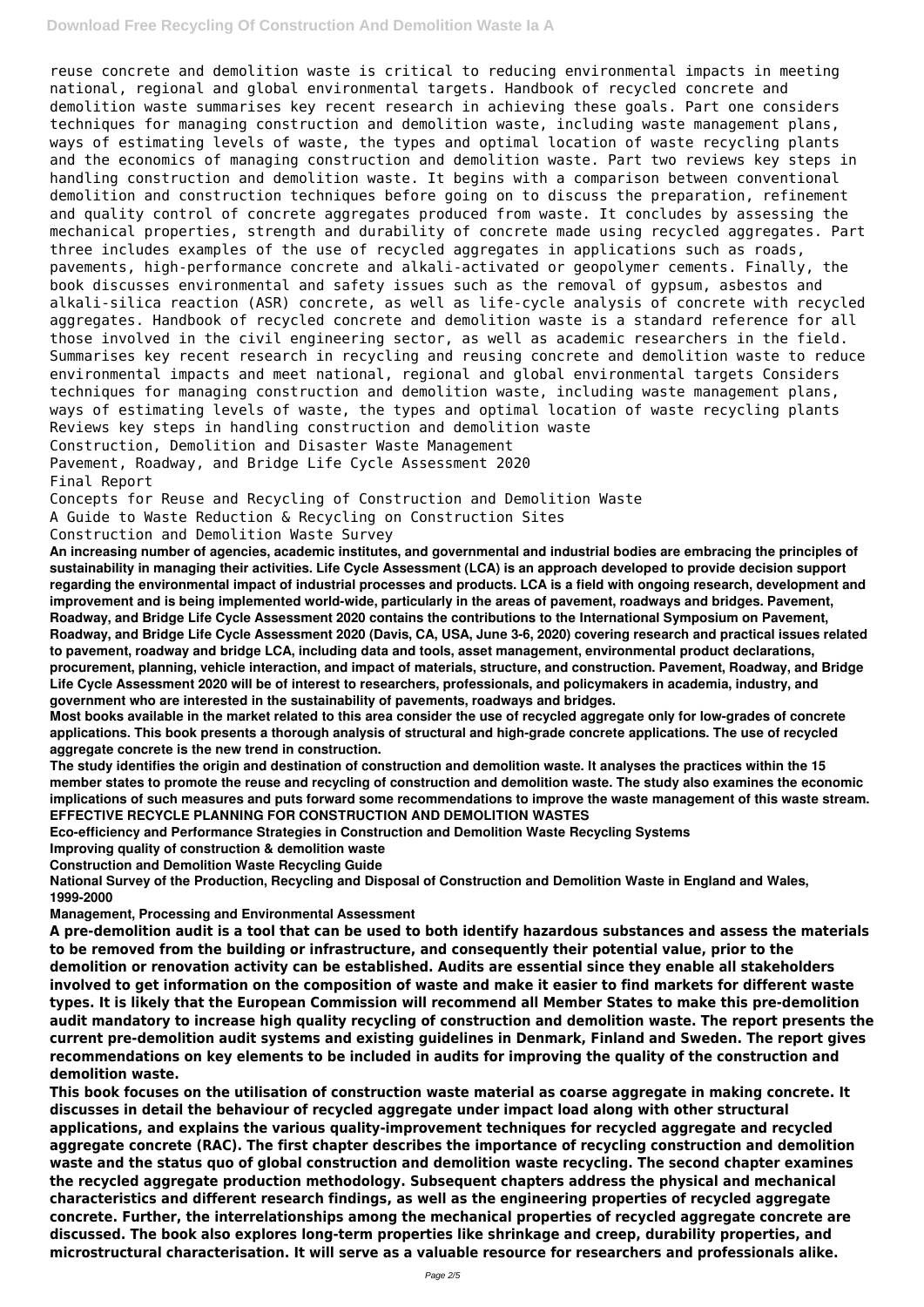### **Download Free Recycling Of Construction And Demolition Waste Ia A**

reuse concrete and demolition waste is critical to reducing environmental impacts in meeting national, regional and global environmental targets. Handbook of recycled concrete and demolition waste summarises key recent research in achieving these goals. Part one considers techniques for managing construction and demolition waste, including waste management plans, ways of estimating levels of waste, the types and optimal location of waste recycling plants and the economics of managing construction and demolition waste. Part two reviews key steps in handling construction and demolition waste. It begins with a comparison between conventional demolition and construction techniques before going on to discuss the preparation, refinement and quality control of concrete aggregates produced from waste. It concludes by assessing the mechanical properties, strength and durability of concrete made using recycled aggregates. Part three includes examples of the use of recycled aggregates in applications such as roads, pavements, high-performance concrete and alkali-activated or geopolymer cements. Finally, the book discusses environmental and safety issues such as the removal of gypsum, asbestos and alkali-silica reaction (ASR) concrete, as well as life-cycle analysis of concrete with recycled aggregates. Handbook of recycled concrete and demolition waste is a standard reference for all those involved in the civil engineering sector, as well as academic researchers in the field. Summarises key recent research in recycling and reusing concrete and demolition waste to reduce environmental impacts and meet national, regional and global environmental targets Considers techniques for managing construction and demolition waste, including waste management plans, ways of estimating levels of waste, the types and optimal location of waste recycling plants Reviews key steps in handling construction and demolition waste Construction, Demolition and Disaster Waste Management

Pavement, Roadway, and Bridge Life Cycle Assessment 2020

Final Report

Concepts for Reuse and Recycling of Construction and Demolition Waste

A Guide to Waste Reduction & Recycling on Construction Sites

Construction and Demolition Waste Survey

**An increasing number of agencies, academic institutes, and governmental and industrial bodies are embracing the principles of sustainability in managing their activities. Life Cycle Assessment (LCA) is an approach developed to provide decision support regarding the environmental impact of industrial processes and products. LCA is a field with ongoing research, development and improvement and is being implemented world-wide, particularly in the areas of pavement, roadways and bridges. Pavement, Roadway, and Bridge Life Cycle Assessment 2020 contains the contributions to the International Symposium on Pavement, Roadway, and Bridge Life Cycle Assessment 2020 (Davis, CA, USA, June 3-6, 2020) covering research and practical issues related to pavement, roadway and bridge LCA, including data and tools, asset management, environmental product declarations, procurement, planning, vehicle interaction, and impact of materials, structure, and construction. Pavement, Roadway, and Bridge Life Cycle Assessment 2020 will be of interest to researchers, professionals, and policymakers in academia, industry, and government who are interested in the sustainability of pavements, roadways and bridges.**

**Most books available in the market related to this area consider the use of recycled aggregate only for low-grades of concrete applications. This book presents a thorough analysis of structural and high-grade concrete applications. The use of recycled aggregate concrete is the new trend in construction.**

**The study identifies the origin and destination of construction and demolition waste. It analyses the practices within the 15 member states to promote the reuse and recycling of construction and demolition waste. The study also examines the economic implications of such measures and puts forward some recommendations to improve the waste management of this waste stream. EFFECTIVE RECYCLE PLANNING FOR CONSTRUCTION AND DEMOLITION WASTES**

**Eco-efficiency and Performance Strategies in Construction and Demolition Waste Recycling Systems**

**Improving quality of construction & demolition waste**

**Construction and Demolition Waste Recycling Guide**

**National Survey of the Production, Recycling and Disposal of Construction and Demolition Waste in England and Wales, 1999-2000**

**Management, Processing and Environmental Assessment**

**A pre-demolition audit is a tool that can be used to both identify hazardous substances and assess the materials to be removed from the building or infrastructure, and consequently their potential value, prior to the demolition or renovation activity can be established. Audits are essential since they enable all stakeholders involved to get information on the composition of waste and make it easier to find markets for different waste types. It is likely that the European Commission will recommend all Member States to make this pre-demolition audit mandatory to increase high quality recycling of construction and demolition waste. The report presents the current pre-demolition audit systems and existing guidelines in Denmark, Finland and Sweden. The report gives recommendations on key elements to be included in audits for improving the quality of the construction and demolition waste. This book focuses on the utilisation of construction waste material as coarse aggregate in making concrete. It discusses in detail the behaviour of recycled aggregate under impact load along with other structural applications, and explains the various quality-improvement techniques for recycled aggregate and recycled aggregate concrete (RAC). The first chapter describes the importance of recycling construction and demolition waste and the status quo of global construction and demolition waste recycling. The second chapter examines the recycled aggregate production methodology. Subsequent chapters address the physical and mechanical characteristics and different research findings, as well as the engineering properties of recycled aggregate concrete. Further, the interrelationships among the mechanical properties of recycled aggregate concrete are discussed. The book also explores long-term properties like shrinkage and creep, durability properties, and microstructural characterisation. It will serve as a valuable resource for researchers and professionals alike.**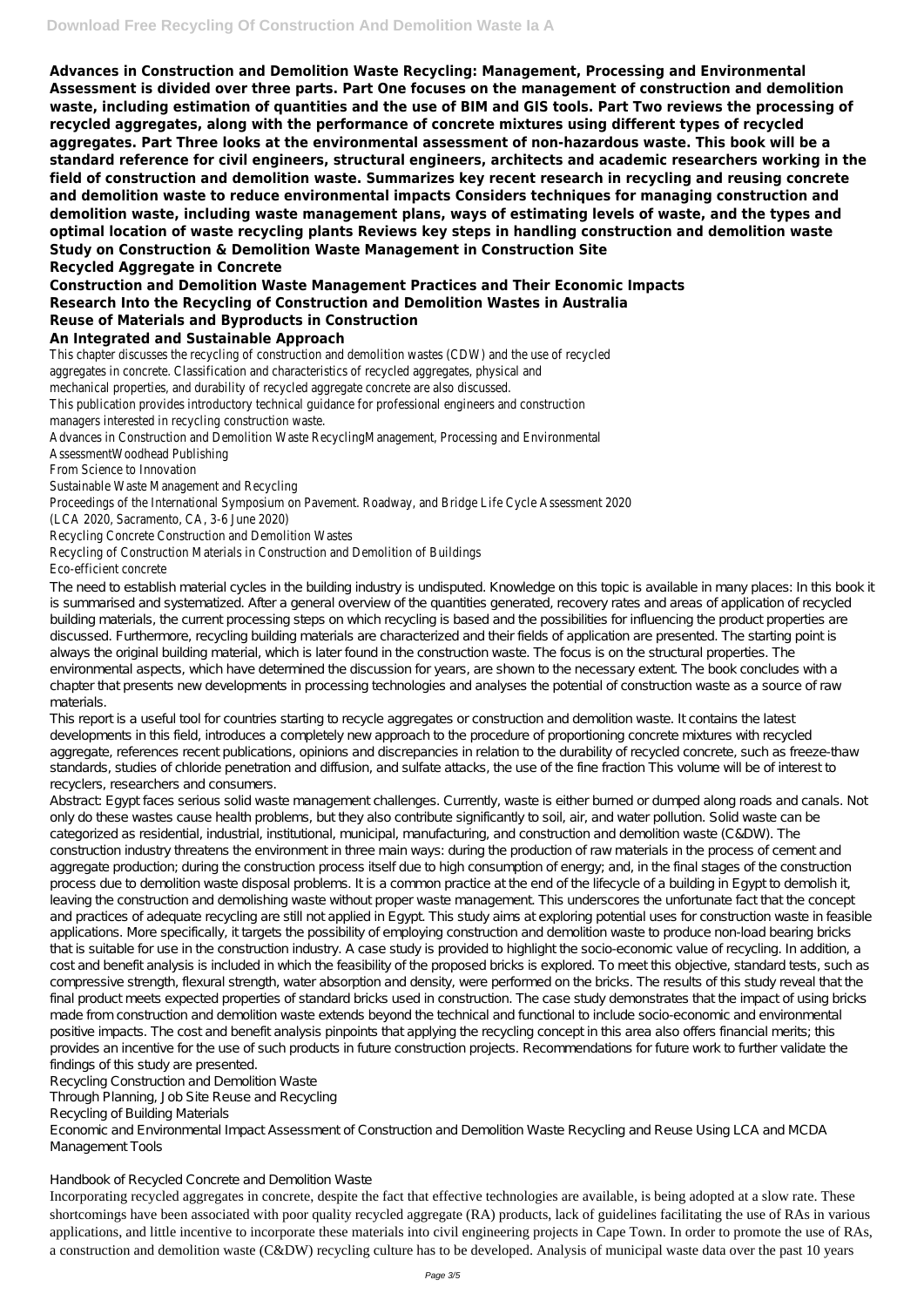**Advances in Construction and Demolition Waste Recycling: Management, Processing and Environmental Assessment is divided over three parts. Part One focuses on the management of construction and demolition waste, including estimation of quantities and the use of BIM and GIS tools. Part Two reviews the processing of recycled aggregates, along with the performance of concrete mixtures using different types of recycled aggregates. Part Three looks at the environmental assessment of non-hazardous waste. This book will be a standard reference for civil engineers, structural engineers, architects and academic researchers working in the field of construction and demolition waste. Summarizes key recent research in recycling and reusing concrete and demolition waste to reduce environmental impacts Considers techniques for managing construction and demolition waste, including waste management plans, ways of estimating levels of waste, and the types and optimal location of waste recycling plants Reviews key steps in handling construction and demolition waste Study on Construction & Demolition Waste Management in Construction Site Recycled Aggregate in Concrete**

## **Construction and Demolition Waste Management Practices and Their Economic Impacts Research Into the Recycling of Construction and Demolition Wastes in Australia Reuse of Materials and Byproducts in Construction**

### **An Integrated and Sustainable Approach**

This chapter discusses the recycling of construction and demolition wastes (CDW) and the use of recycled aggregates in concrete. Classification and characteristics of recycled aggregates, physical and mechanical properties, and durability of recycled aggregate concrete are also discussed. This publication provides introductory technical guidance for professional engineers and construction managers interested in recycling construction waste. Advances in Construction and Demolition Waste RecyclingManagement, Processing and Environmental AssessmentWoodhead Publishing From Science to Innovation Sustainable Waste Management and Recycling Proceedings of the International Symposium on Pavement. Roadway, and Bridge Life Cycle Assessment 2020 (LCA 2020, Sacramento, CA, 3-6 June 2020) Recycling Concrete Construction and Demolition Wastes

This report is a useful tool for countries starting to recycle aggregates or construction and demolition waste. It contains the latest developments in this field, introduces a completely new approach to the procedure of proportioning concrete mixtures with recycled aggregate, references recent publications, opinions and discrepancies in relation to the durability of recycled concrete, such as freeze-thaw standards, studies of chloride penetration and diffusion, and sulfate attacks, the use of the fine fraction This volume will be of interest to recyclers, researchers and consumers.

# Recycling of Construction Materials in Construction and Demolition of Buildings

Eco-efficient concrete

The need to establish material cycles in the building industry is undisputed. Knowledge on this topic is available in many places: In this book it is summarised and systematized. After a general overview of the quantities generated, recovery rates and areas of application of recycled building materials, the current processing steps on which recycling is based and the possibilities for influencing the product properties are discussed. Furthermore, recycling building materials are characterized and their fields of application are presented. The starting point is always the original building material, which is later found in the construction waste. The focus is on the structural properties. The environmental aspects, which have determined the discussion for years, are shown to the necessary extent. The book concludes with a chapter that presents new developments in processing technologies and analyses the potential of construction waste as a source of raw materials.

Abstract: Egypt faces serious solid waste management challenges. Currently, waste is either burned or dumped along roads and canals. Not only do these wastes cause health problems, but they also contribute significantly to soil, air, and water pollution. Solid waste can be categorized as residential, industrial, institutional, municipal, manufacturing, and construction and demolition waste (C&DW). The construction industry threatens the environment in three main ways: during the production of raw materials in the process of cement and aggregate production; during the construction process itself due to high consumption of energy; and, in the final stages of the construction process due to demolition waste disposal problems. It is a common practice at the end of the lifecycle of a building in Egypt to demolish it, leaving the construction and demolishing waste without proper waste management. This underscores the unfortunate fact that the concept and practices of adequate recycling are still not applied in Egypt. This study aims at exploring potential uses for construction waste in feasible applications. More specifically, it targets the possibility of employing construction and demolition waste to produce non-load bearing bricks that is suitable for use in the construction industry. A case study is provided to highlight the socio-economic value of recycling. In addition, a cost and benefit analysis is included in which the feasibility of the proposed bricks is explored. To meet this objective, standard tests, such as compressive strength, flexural strength, water absorption and density, were performed on the bricks. The results of this study reveal that the final product meets expected properties of standard bricks used in construction. The case study demonstrates that the impact of using bricks made from construction and demolition waste extends beyond the technical and functional to include socio-economic and environmental positive impacts. The cost and benefit analysis pinpoints that applying the recycling concept in this area also offers financial merits; this provides an incentive for the use of such products in future construction projects. Recommendations for future work to further validate the findings of this study are presented. Recycling Construction and Demolition Waste Through Planning, Job Site Reuse and Recycling

Recycling of Building Materials

Economic and Environmental Impact Assessment of Construction and Demolition Waste Recycling and Reuse Using LCA and MCDA Management Tools

#### Handbook of Recycled Concrete and Demolition Waste

Incorporating recycled aggregates in concrete, despite the fact that effective technologies are available, is being adopted at a slow rate. These shortcomings have been associated with poor quality recycled aggregate (RA) products, lack of guidelines facilitating the use of RAs in various applications, and little incentive to incorporate these materials into civil engineering projects in Cape Town. In order to promote the use of RAs, a construction and demolition waste (C&DW) recycling culture has to be developed. Analysis of municipal waste data over the past 10 years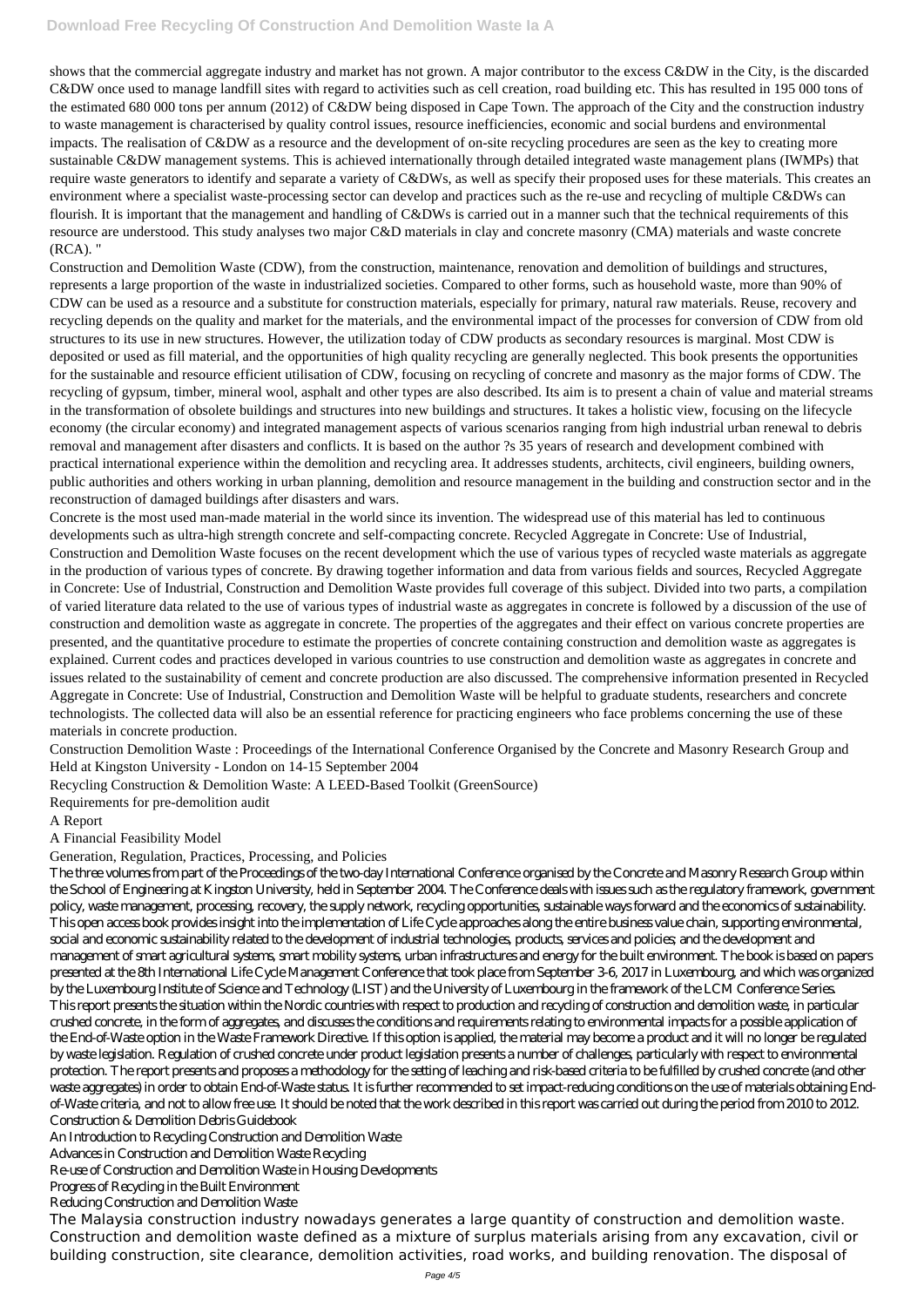shows that the commercial aggregate industry and market has not grown. A major contributor to the excess C&DW in the City, is the discarded C&DW once used to manage landfill sites with regard to activities such as cell creation, road building etc. This has resulted in 195 000 tons of the estimated 680 000 tons per annum (2012) of C&DW being disposed in Cape Town. The approach of the City and the construction industry to waste management is characterised by quality control issues, resource inefficiencies, economic and social burdens and environmental impacts. The realisation of C&DW as a resource and the development of on-site recycling procedures are seen as the key to creating more sustainable C&DW management systems. This is achieved internationally through detailed integrated waste management plans (IWMPs) that require waste generators to identify and separate a variety of C&DWs, as well as specify their proposed uses for these materials. This creates an environment where a specialist waste-processing sector can develop and practices such as the re-use and recycling of multiple C&DWs can flourish. It is important that the management and handling of C&DWs is carried out in a manner such that the technical requirements of this resource are understood. This study analyses two major C&D materials in clay and concrete masonry (CMA) materials and waste concrete (RCA). "

Construction and Demolition Waste (CDW), from the construction, maintenance, renovation and demolition of buildings and structures, represents a large proportion of the waste in industrialized societies. Compared to other forms, such as household waste, more than 90% of CDW can be used as a resource and a substitute for construction materials, especially for primary, natural raw materials. Reuse, recovery and recycling depends on the quality and market for the materials, and the environmental impact of the processes for conversion of CDW from old structures to its use in new structures. However, the utilization today of CDW products as secondary resources is marginal. Most CDW is deposited or used as fill material, and the opportunities of high quality recycling are generally neglected. This book presents the opportunities for the sustainable and resource efficient utilisation of CDW, focusing on recycling of concrete and masonry as the major forms of CDW. The recycling of gypsum, timber, mineral wool, asphalt and other types are also described. Its aim is to present a chain of value and material streams in the transformation of obsolete buildings and structures into new buildings and structures. It takes a holistic view, focusing on the lifecycle economy (the circular economy) and integrated management aspects of various scenarios ranging from high industrial urban renewal to debris removal and management after disasters and conflicts. It is based on the author ?s 35 years of research and development combined with practical international experience within the demolition and recycling area. It addresses students, architects, civil engineers, building owners, public authorities and others working in urban planning, demolition and resource management in the building and construction sector and in the reconstruction of damaged buildings after disasters and wars.

Concrete is the most used man-made material in the world since its invention. The widespread use of this material has led to continuous developments such as ultra-high strength concrete and self-compacting concrete. Recycled Aggregate in Concrete: Use of Industrial, Construction and Demolition Waste focuses on the recent development which the use of various types of recycled waste materials as aggregate in the production of various types of concrete. By drawing together information and data from various fields and sources, Recycled Aggregate in Concrete: Use of Industrial, Construction and Demolition Waste provides full coverage of this subject. Divided into two parts, a compilation of varied literature data related to the use of various types of industrial waste as aggregates in concrete is followed by a discussion of the use of construction and demolition waste as aggregate in concrete. The properties of the aggregates and their effect on various concrete properties are presented, and the quantitative procedure to estimate the properties of concrete containing construction and demolition waste as aggregates is explained. Current codes and practices developed in various countries to use construction and demolition waste as aggregates in concrete and issues related to the sustainability of cement and concrete production are also discussed. The comprehensive information presented in Recycled Aggregate in Concrete: Use of Industrial, Construction and Demolition Waste will be helpful to graduate students, researchers and concrete technologists. The collected data will also be an essential reference for practicing engineers who face problems concerning the use of these materials in concrete production.

Construction Demolition Waste : Proceedings of the International Conference Organised by the Concrete and Masonry Research Group and Held at Kingston University - London on 14-15 September 2004

Recycling Construction & Demolition Waste: A LEED-Based Toolkit (GreenSource)

Requirements for pre-demolition audit

A Report

A Financial Feasibility Model

Generation, Regulation, Practices, Processing, and Policies

The three volumes from part of the Proceedings of the two-day International Conference organised by the Concrete and Masonry Research Group within the School of Engineering at Kingston University, held in September 2004. The Conference deals with issues such as the regulatory framework, government policy, waste management, processing, recovery, the supply network, recycling opportunities, sustainable ways forward and the economics of sustainability. This open access book provides insight into the implementation of Life Cycle approaches along the entire business value chain, supporting environmental, social and economic sustainability related to the development of industrial technologies, products, services and policies; and the development and management of smart agricultural systems, smart mobility systems, urban infrastructures and energy for the built environment. The book is based on papers presented at the 8th International Life Cycle Management Conference that took place from September 3-6, 2017 in Luxembourg, and which was organized by the Luxembourg Institute of Science and Technology (LIST) and the University of Luxembourg in the framework of the LCM Conference Series. This report presents the situation within the Nordic countries with respect to production and recycling of construction and demolition waste, in particular crushed concrete, in the form of aggregates, and discusses the conditions and requirements relating to environmental impacts for a possible application of the End-of-Waste option in the Waste Framework Directive. If this option is applied, the material may become a product and it will no longer be regulated by waste legislation. Regulation of crushed concrete under product legislation presents a number of challenges, particularly with respect to environmental protection. The report presents and proposes a methodology for the setting of leaching and risk-based criteria to be fulfilled by crushed concrete (and other waste aggregates) in order to obtain End-of-Waste status. It is further recommended to set impact-reducing conditions on the use of materials obtaining Endof-Waste criteria, and not to allow free use. It should be noted that the work described in this report was carried out during the period from 2010 to 2012. Construction & Demolition Debris Guidebook An Introduction to Recycling Construction and Demolition Waste Advances in Construction and Demolition Waste Recycling Re-use of Construction and Demolition Waste in Housing Developments Progress of Recycling in the Built Environment

#### Reducing Construction and Demolition Waste

The Malaysia construction industry nowadays generates a large quantity of construction and demolition waste. Construction and demolition waste defined as a mixture of surplus materials arising from any excavation, civil or building construction, site clearance, demolition activities, road works, and building renovation. The disposal of